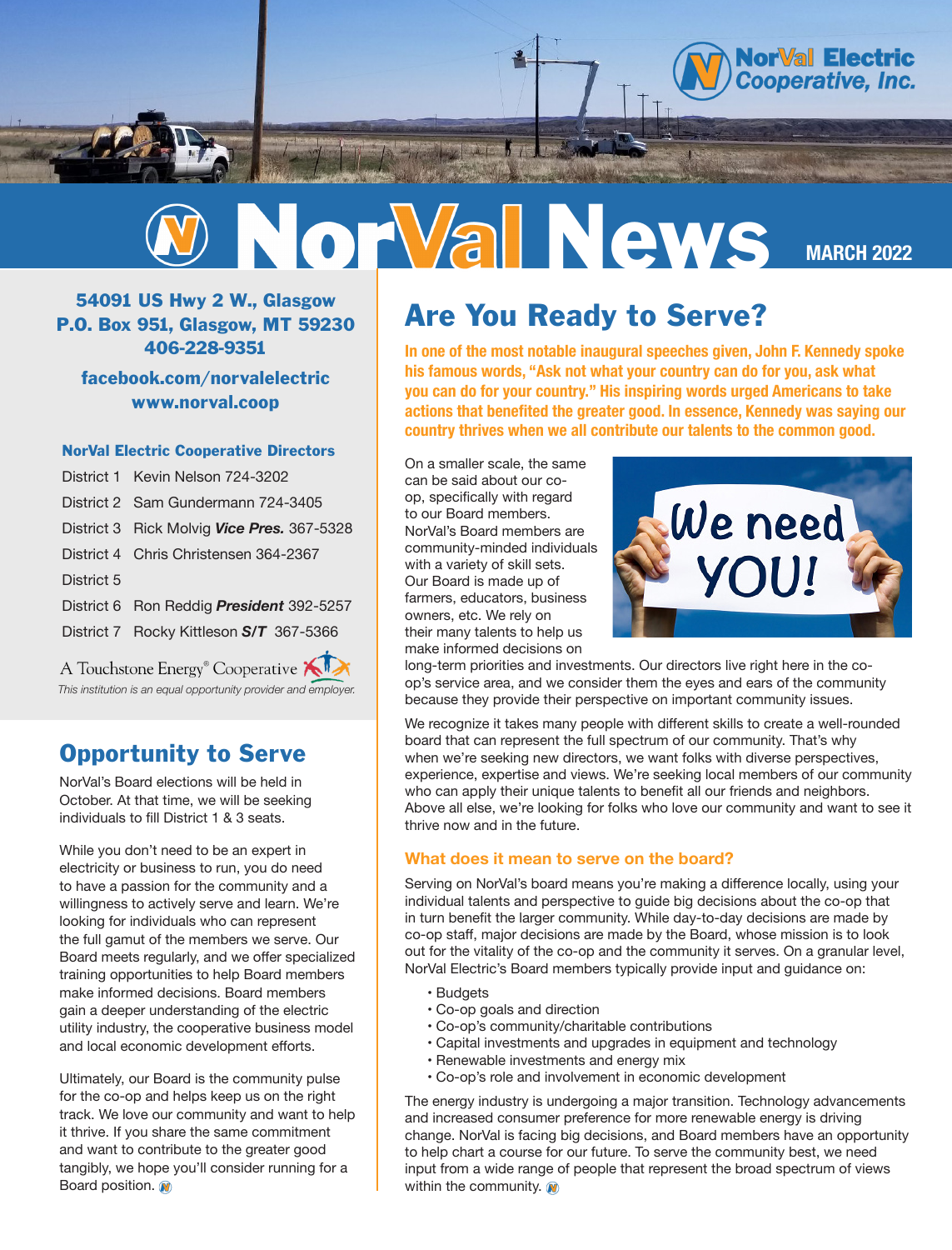



54091 US Hwy 2 W., Glasgow P.O. Box 951, Glasgow, MT 59230 406-228-9351

facebook.com/norvalelectric www.norval.coop

#### NorVal Electric Cooperative Directors

|                                              | District 1 Kevin Nelson 724-3202           |
|----------------------------------------------|--------------------------------------------|
|                                              | District 2 Sam Gundermann 724-3405         |
|                                              | District 3 Rick Molvig Vice Pres. 367-5328 |
|                                              | District 4 Chris Christensen 364-2367      |
| District 5                                   |                                            |
|                                              | District 6 Ron Reddig President 392-5257   |
|                                              | District 7 Rocky Kittleson S/T 367-5366    |
| A Touchstone Energy <sup>®</sup> Cooperative |                                            |

nouchstone energy Cooperative *This institution is an equal opportunity provider and employer.*

### Opportunity to Serve

NorVal's Board elections will be held in October. At that time, we will be seeking individuals to fill District 1 & 3 seats.

While you don't need to be an expert in electricity or business to run, you do need to have a passion for the community and a willingness to actively serve and learn. We're looking for individuals who can represent the full gamut of the members we serve. Our Board meets regularly, and we offer specialized training opportunities to help Board members make informed decisions. Board members gain a deeper understanding of the electric utility industry, the cooperative business model and local economic development efforts.

Ultimately, our Board is the community pulse for the co-op and helps keep us on the right track. We love our community and want to help it thrive. If you share the same commitment and want to contribute to the greater good tangibly, we hope you'll consider running for a Board position.

### Are You Ready to Serve?

**In one of the most notable inaugural speeches given, John F. Kennedy spoke his famous words, "Ask not what your country can do for you, ask what you can do for your country." His inspiring words urged Americans to take actions that benefited the greater good. In essence, Kennedy was saying our country thrives when we all contribute our talents to the common good.** 

On a smaller scale, the same can be said about our coop, specifically with regard to our Board members. NorVal's Board members are community-minded individuals with a variety of skill sets. Our Board is made up of farmers, educators, business owners, etc. We rely on their many talents to help us make informed decisions on



long-term priorities and investments. Our directors live right here in the coop's service area, and we consider them the eyes and ears of the community because they provide their perspective on important community issues.

We recognize it takes many people with different skills to create a well-rounded board that can represent the full spectrum of our community. That's why when we're seeking new directors, we want folks with diverse perspectives, experience, expertise and views. We're seeking local members of our community who can apply their unique talents to benefit all our friends and neighbors. Above all else, we're looking for folks who love our community and want to see it thrive now and in the future.

#### **What does it mean to serve on the board?**

Serving on NorVal's board means you're making a difference locally, using your individual talents and perspective to guide big decisions about the co-op that in turn benefit the larger community. While day-to-day decisions are made by co-op staff, major decisions are made by the Board, whose mission is to look out for the vitality of the co-op and the community it serves. On a granular level, NorVal Electric's Board members typically provide input and guidance on:

- Budgets
- Co-op goals and direction
- Co-op's community/charitable contributions
- Capital investments and upgrades in equipment and technology
- Renewable investments and energy mix
- Co-op's role and involvement in economic development

The energy industry is undergoing a major transition. Technology advancements and increased consumer preference for more renewable energy is driving change. NorVal is facing big decisions, and Board members have an opportunity to help chart a course for our future. To serve the community best, we need input from a wide range of people that represent the broad spectrum of views within the community.  $\mathbf{\Omega}$